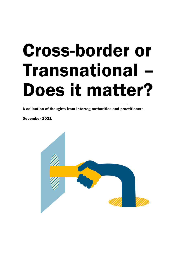# Cross-border or Transnational – Does it matter?

A collection of thoughts from Interreg authorities and practitioners.

December 2021

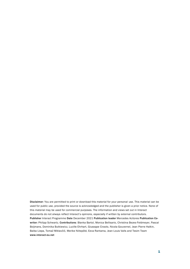Disclaimer: You are permitted to print or download this material for your personal use. This material can be used for public use, provided the source is acknowledged and the publisher is given a prior notice. None of this material may be used for commercial purposes. The information and views set out in Interact documents do not always reflect Interact's opinions, especially if written by external contributors. Publisher Interact Programme Date December 2021 Publication leader Mercedes Acitores Publication Cowriter: Philipp Schwartz. Contributions: Blanka Bartol, Monica Bellisario, Christina Bezes-Feldmeyer, Pascal Boijmans, Dominika Butkiewicz, Lucille Ehrhart, Giuseppe Ciraolo, Nicola Gouvernel, Jean Pierre Halkin, Baiba Liepa, Tomaž Miklavčič, Merike Niitepõld, Eeva Rantama, Jean Louis Valls and Tesim Team www.interact-eu.net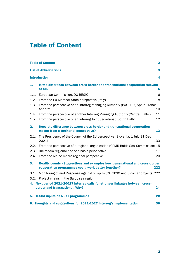# Table of Content

| <b>Table of Content</b><br>$\mathbf 2$                                                                                   |                                                                                                                                    |     |  |
|--------------------------------------------------------------------------------------------------------------------------|------------------------------------------------------------------------------------------------------------------------------------|-----|--|
| 3<br><b>List of Abbreviations</b>                                                                                        |                                                                                                                                    |     |  |
| <b>Introduction</b><br>4                                                                                                 |                                                                                                                                    |     |  |
| 1.                                                                                                                       | Is the difference between cross-border and transnational cooperation relevant<br>at all?                                           | 6   |  |
| 1.1.                                                                                                                     | European Commission, DG REGIO                                                                                                      | 6   |  |
| 1.2.                                                                                                                     | From the EU Member State perspective (Italy)                                                                                       | 8   |  |
| 1.3.                                                                                                                     | From the perspective of an Interreg Managing Authority (POCTEFA/Spain-France-<br>Andorra)<br>10                                    |     |  |
| 1.4.                                                                                                                     | From the perspective of another Interreg Managing Authority (Central Baltic)                                                       | 11  |  |
| 1.5.                                                                                                                     | From the perspective of an Interreg Joint Secretariat (South Baltic)                                                               | 12  |  |
| 2.                                                                                                                       | Does the difference between cross-border and transnational cooperation<br>matter from a territorial perspective?                   | 13  |  |
| 2.1.                                                                                                                     | The Presidency of the Council of the EU perspective (Slovenia, 1 July-31 Dec<br>2021)                                              | 133 |  |
| 2.2.                                                                                                                     | From the perspective of a regional organisation (CPMR Baltic Sea Commission) 15                                                    |     |  |
| 2.3                                                                                                                      | The macro-regional and sea-basin perspective                                                                                       | 17  |  |
| 2.4.                                                                                                                     | From the Alpine macro-regional perspective                                                                                         | 20  |  |
| 3.                                                                                                                       | Reality counts - Suggestions and examples how transnational and cross-border<br>cooperation programmes could work better together? | 222 |  |
| 3.1.<br>3.2.                                                                                                             | Monitoring of and Response against oil spills (CALYPSO and Slcomar projects) 222<br>Project chains in the Baltic sea region        |     |  |
| Next period 2021-20027 Interreg calls for stronger linkages between cross-<br>4.<br>border and transnational. Why?<br>24 |                                                                                                                                    |     |  |
| 5.                                                                                                                       | <b>TESIM inputs on NEXT programmes</b>                                                                                             | 28  |  |
| 6. Thoughts and suggestions for 2021-2027 Interreg's implementation<br>30                                                |                                                                                                                                    |     |  |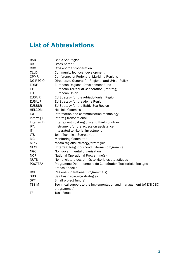# List of Abbreviations

| <b>BSR</b>     | <b>Baltic Sea region</b>                                           |
|----------------|--------------------------------------------------------------------|
| CВ             | Cross-border                                                       |
| <b>CBC</b>     | Cross-border cooperation                                           |
| <b>CLLD</b>    | Community led local development                                    |
| <b>CPMR</b>    | Conference of Peripheral Maritime Regions                          |
| DG REGIO       | Directorate-General for Regional and Urban Policy                  |
| <b>ERDF</b>    | European Regional Development Fund                                 |
| <b>ETC</b>     | European Territorial Cooperation (Interreg)                        |
| EU             | European Union                                                     |
| <b>EUSAIR</b>  | EU Strategy for the Adriatic-Ionian Region                         |
| <b>EUSALP</b>  | EU Strategy for the Alpine Region                                  |
| <b>EUSBSR</b>  | EU Strategy for the Baltic Sea Region                              |
| <b>HELCOM</b>  | Helsinki Commission                                                |
| ICT            | Information and communication technology                           |
| Interreg B     | Interreg transnational                                             |
| Interreg D     | Interreg outmost regions and third countries                       |
| IPA            | Instrument for pre-accession assistance                            |
| ITI            | Integrated territorial investment                                  |
| <b>JTS</b>     | <b>Joint Technical Secretariat</b>                                 |
| МC             | <b>Monitoring Committee</b>                                        |
| <b>MRS</b>     | Macro-regional strategy/strategies                                 |
| <b>NEXT</b>    | (Interreg) Neighbourhood External (programme)                      |
| <b>NGO</b>     | Non-governmental organisation                                      |
| <b>NOP</b>     | National Operational Programme(s)                                  |
| <b>NUTS</b>    | Nomenclature des Unités territoriales statistiques                 |
| <b>POCTEFA</b> | Programme Opérationnelle de Coopération Territoriale Espagne-      |
|                | France-Andorre                                                     |
| <b>ROP</b>     | Regional Operational Programme(s)                                  |
| <b>SBS</b>     | Sea basin strategy/strategies                                      |
| <b>SPF</b>     | Small project fund(s)                                              |
| <b>TESIM</b>   | Technical support to the implementation and management (of ENI CBC |
|                | programmes)                                                        |
| TF             | <b>Task Force</b>                                                  |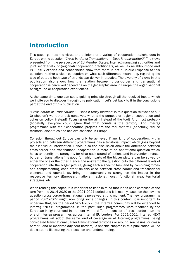# Introduction

This paper gathers the views and opinions of a variety of cooperation stakeholders in Europe on the question "*Cross-border or Transnational – Does it really matter?*" The views presented from the perspective of EU Member States, Interreg managing authorities and joint secretariats, or (regional) cooperation practitioners, as well as neighbourhood and INTERREG experts and beneficiaries show that there is not a unique response to this question, neither a clear perception on what such difference means e.g. regarding the type of outputs both type of strands can deliver in practice. The diversity of views in this publication also shows how the relation between cross-border and transnational cooperation is perceived depending on the geographic area in Europe, the organisational background or cooperation experiences.

At the same time, one can see a guiding principle through all the received inputs which we invite you to discover through this publication. Let's get back to it in the conclusions part at the end of this publication.

"*Cross-border or Transnational – Does it really matter?*" Is this question relevant at all? Or shouldn't we rather ask ourselves, what is the purpose of regional cooperation and cohesion policy, instead? Focusing on the aim instead of the tool? And most probably (hopefully) everyone could agree that what counts is the territory . And Interreg programmes with their cooperation projects are the tool that will (hopefully) reduce territorial disparities and achieve cohesion in Europe.

Cohesion throughout Europe can only be achieved if any kind of cooperation, within projects and between different programmes has a territorial impact which goes beyond their individual intervention. Hence, also the discussion about the difference between cross-border and transnational cooperation is more of an operational question which helps to identify the strengths, for what each strand of actions and interventions (crossborder or transnational) is good for, which parts of the bigger picture can be solved by either the one or the other. Hence, the answer to the question puts the different levels of cooperation into the bigger picture, giving each a specific task and by combining forces and complementing each other (in this case between cross-border and transnational elements and operations), bring the opportunity to strengthen the impact in the respective territory (European, national, regional, local, functional area, territorial strategies, etc...).

When reading this paper, it is important to keep in mind that it has been compiled at the turn from the 2014-2020 to the 2021-2027 period and it is mainly based on the how the question cross-border-transnational is perceived at this moment. The new programming period 2021-2027 might now bring some changes. In this context, it is important to underline that, for the period 2021-2027, the Interreg community will be extended to Interreg "NEXT" programmes. In the past, such programmes were financed by the European Neighbourhood Instrument with a different concept of cross-border than the one of Interreg programmes across internal EU borders. For 2021-2021, Interreg NEXT programmes will adopt the same kind of coverage as all Interreg programmes, being considered transnational (larger transnational territories or around sea basins) or crossborder (land or maritime adjacent borders). A specific chapter in this publication will be dedicated to illustrating their position and understanding.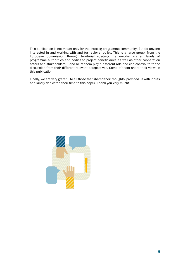This publication is not meant only for the Interreg programme community. But for anyone interested in and working with and for regional policy. This is a large group, from the European Commission through territorial strategic frameworks, via all levels of programme authorities and bodies to project beneficiaries as well as other cooperation actors and stakeholders – and all of them play a different role and can contribute to the discussion from their different relevant perspectives. Some of them share their views in this publication.

Finally, we are very grateful to all those that shared their thoughts, provided us with inputs and kindly dedicated their time to this paper. Thank you very much!

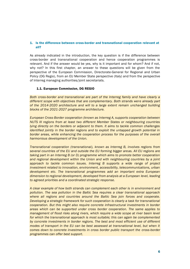# 1. Is the difference between cross-border and transnational cooperation relevant at all?

As already indicated in the introduction, the key question is if the difference between cross-border and transnational cooperation and hence cooperation programmes is relevant. And if the answer would be yes, why is it important and for whom? And if not, why not? In this first chapter, an answer to these questions will be given from the perspective of the European Commission, Directorate-General for Regional and Urban Policy (DG Regio), from an EU Member State perspective (Italy) and from the perspective of Interreg managing authorities/joint secretariats.

#### 1.1. European Commission, DG REGIO

*Both cross-border and transnational are part of the Interreg family and have clearly a different scope with objectives that are complementary. Both strands were already part of the 2014-2020 architecture and will to a large extent remain unchanged building blocks of the 2021-2027 programme architecture.*

*European Cross-Border cooperation (known as Interreg A, supports cooperation between NUTS III regions from at least two different Member States or neighbouring countries lying directly on the borders or adjacent to them. It aims to tackle common challenges identified jointly in the border regions and to exploit the untapped growth potential in border areas, while enhancing the cooperation process for the purposes of the overall harmonious development of the Union.*

*Transnational cooperation (transnational), known as Interreg B, involves regions from several countries of the EU and outside the EU forming bigger areas. All EU regions are taking part in an Interreg B (or D) programme which aims to promote better cooperation and regional development within the Union and with neighbouring countries by a joint approach to tackle common issues. Interreg B supports a wide range of project investment related to innovation, environment, accessibility, telecommunications, urban development etc. The transnational programmes add an important extra European dimension to regional development, developed from analysis at a European level, leading to agreed priorities and a coordinated strategic response.* 

*A clear example of how both strands can complement each other is in environment and pollution. The sea pollution in the Baltic Sea requires a clear transnational approach where all regions and countries around the Baltic Sea join forces and cooperate. Developing a strategic framework for such cooperation is clearly a task for transnational cooperation. But this might also require concrete infrastructural investments in border areas which can be supported under cross border cooperation. The same applies to management of flood risks along rivers, which require a wide scope at river basin level for which the transnational approach is most suitable; this can again be complemented by concrete investments in border regions. The best and most efficient use of different modes of transport in the EU can be best assessed at transnational level, but when it comes down to concrete investments in cross border public transport the cross-border programmes can offer best support.*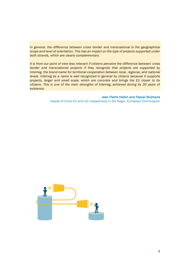*In general, the difference between cross border and transnational is the geographical scope and level of orientation. This has an impact on the type of projects supported under both strands, which are clearly complementary.*

*It is from our point of view less relevant if citizens perceive the difference between cross border and transnational projects if they recognize that projects are supported by Interreg, the brand name for territorial cooperation between local, regional, and national levels. Interreg as a name is well recognized in general by citizens because it supports projects, larger and small scale, which are concrete and brings the EU closer to its citizens. This is one of the main strengths of Interreg, achieved during its 30 years of existence.* 

> Jean Pierre Halkin and Pascal Boijmans Heads of Units D1 and D2 respectively in DG Regio. European Commission

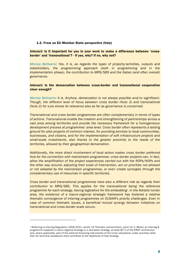#### 1.2. From an EU Member State perspective (Italy)

#### *Interact:* Is it important for you in your work to make a difference between 'crossborder' and 'transnational'? - If yes, why? If no, why not?

*Monica Bellisario: Yes, it is, as regards the types of projects/activities, outputs and stakeholders, the programming approach (both in programming and in the implementation phase), the contribution to MRS/SBS and the Italian (and often overall) governance.* 

## *Interact:* Is the demarcation between cross-border and transnational cooperation clear enough?

*Monica Bellisario: It is. Anyhow, demarcation is not always possible and/or significant. Though, the different level of focus between cross border (Nuts 3) and transnational (Nuts 2) for sure shows its relevance also as far as governance is concerned.*

*Transnational and cross border programmes are often complementary in terms of types of actions. Transnational enable the creation and strengthening of partnerships across a vast area among territories and provide the necessary framework for a homogeneous development process at programmes' area level. Cross border often represents a testing ground for pilot projects of common interest, for providing services to local communities, businesses, and citizens, and for the implementation of soft infrastructure projects and small-scale investments, also thanks to the greater proximity to the needs of the territories, allowed by their geographical demarcation.*

*Additionally, the more direct involvement of local actors makes cross border preferred fora for the connection with mainstream programmes. cross border projects can, in fact, allow the amplification of the project experiences carried out with the ROPs/NOPs and the other way around, adjusting their scale of intervention, act on priorities not allowed or not adopted by the mainstream programmes, or even create synergies through the complementary use of resources in specific territories.*

*Cross border and transnational programmes have also a different role as regards their contribution to MRS/SBS. This applies for the transnational being the reference programme for each strategy, having legislative for the embedding1. In the Adriatic-Ionian area, the existence of a macro-regional strategic framework has fostered a relative thematic convergence of Interreg programmes on EUSAIR's priority challenges. Even in case of common thematic issues, a beneficial mutual synergy between initiatives on transnational and cross-border scale occurs.* 

<sup>1</sup> Referring to Interreg Regulation 1059/2021, article 15 Thematic concentration, point (3) 3. Where an Interreg B programme supports a macro-regional strategy or a sea-basin strategy, at least 80 % of the ERDF contribution and, where applicable, part of the external financing instruments of the Union allocations under priorities other than for technical assistance shall contribute to the objectives of that strategy.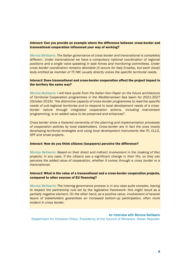# *Interact:* Can you provide an example where the difference between cross-border and transnational cooperation influenced your way of working?

*Monica Bellisario: The Italian governance of cross border and transnational is completely different. Under transnational we have a compulsory national coordination of regional positions and a single voice speaking in task forces and monitoring committees. Under cross border coordination remains desirable (it occurs for Italy-Croatia), but each (local) body entitled as member of TF/MC usually directly voices the specific territorial needs.* 

# *Interact:* Does transnational and cross-border cooperation affect the project impact in the territory the same way?

*Monica Bellisario: I will here quote from the Italian Non-Paper on the future architecture of Territorial Cooperation programmes in the Mediterranean Sea basin for 2021-2027 (October 2019): "the distinctive capacity of cross-border programmes to read the specific needs of sub-regional territories and to respond to local development needs of a crossborder nature through integrated cooperation actions, including mainstream programming, is an added value to be preserved and enhanced".*

*Cross-border show a fostered ownership of the planning and implementation processes of cooperation policies by local stakeholders. Cross-border are in fact the ones mostly developing territorial strategies and using local development instruments like ITI, CLLD, SPF and small projects*.

#### *Interact:* How do you think citizens (taxpayers) perceive the difference?

*Monica Bellisario: Based on their direct and indirect involvement in the (making of the) projects: in any case, if the citizens see a significant change in their life, so they can perceive the added value of cooperation, whether it comes through a cross border or a transnational.*

# *Interact:* What is the value of a transnational and a cross-border cooperation projects, compared to other sources of EU financing?

*Monica Bellisario: The Interreg governance process is in any case quite complex, having to respect the partnership rule set by the legislative framework: this might result as a partially negative element. On the other hand, as a positive value, involvement of several layers of stakeholders guarantees an increased bottom-up participation, often more evident in cross border.*

#### An interview with Monica Bellisario

Department for Cohesion Policy. Presidency of the Council of Ministers. Italian Republic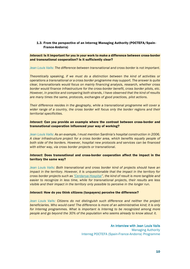# 1.3. From the perspective of an Interreg Managing Authority (POCTEFA/Spain-France-Andorra)

## *Interact:* Is it important for you in your work to make a difference between cross-border and transnational cooperation? Is it sufficiently clear?

*Jean Louis Valls: The difference between transnational and cross border is not important.* 

*Theoretically speaking, if we must do a distinction between the kind of activities or operations a transnational or a cross border programme may support. The answer is quite clear, transnationals would focus on mainly financing analysis, research, whether cross border would finance infrastructure for the cross-border benefit, cross border pilots, etc. However, in practice and comparing both strands, I have observed that the kind of results are many times the same, protocols, exchanges of good practices, pilot actions.*

*Their difference resides in the geography, while a transnational programme will cover a wider range of a country, the cross border will focus only the border regions and their territorial specificities.* 

## *Interact:* Can you provide an example where the contrast between cross-border and transnational cooperation influenced your way of working?

*Jean Louis Valls: As an example, I must mention Sardinia's hospital construction in 2006. A clear infrastructure project for a cross border area, which benefits equally people of both side of the borders. However, hospital new protocols and services can be financed with either way, via cross border projects or transnational.*

# *Interact:* Does transnational and cross-border cooperation affect the impact in the territory the same way?

*Jean Louis Valls: Both transnational and cross border kind of projects should have an impact in the territory. However, it is unquestionable that the impact in the territory for cross border projects such as ["Cerdanya Hospital](http://www.hcerdanya.eu/)", the kind of result is more tangible and easier to recognize in less time, while for transnational projects, their results are less visible and their impact in the territory only possible to perceive in the longer run.* 

#### *Interact:* How do you think citizens (taxpayers) perceive the difference?

*Jean Louis Valls: Citizens do not distinguish such difference and neither the project beneficiaries. Who would care! The difference is more of an administrative kind; it is only for Interreg programmes. What is important is Interreg to be recognized among more people and go beyond the 30% of the population who seems already to know about it.*

> An interview with Jean Louis Valls Managing Authority Interreg POCTEFA (Spain-France-Andorra) Programme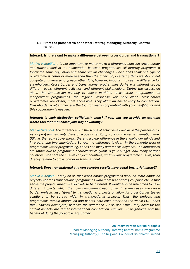# 1.4. From the perspective of another Interreg Managing Authority (Central Baltic)

#### Interact: Is it relevant to make a difference between cross-border and transnational?

*Merike Niitepõld: It is not important to me to make a difference between cross border and transnational in the cooperation between programmes. All Interreg programmes follow the same regulation and share similar challenges. I also don't think one type of programme is better or more needed than the other. So, I certainly think we should not compete or quarrel among each other. It is, however, important to see the difference for stakeholders. Cross border and transnational programmes do have a different scope, different goals, different activities, and different stakeholders. During the discussion about the Commission wanting to delete maritime cross-border programmes as independent programmes, the regional response was very clear: cross-border programmes are closer, more accessible. They allow an easier entry to cooperation. Cross-border programmes are the tool for really cooperating with your neighbours and this cooperation is needed.*

# *Interact: Is such distinction sufficiently clear? If yes, can you provide an example where this fact influenced your way of working?*

*Merike Niitepõld: The difference is in the scope of activities as well as in the partnerships. As all programmes, regardless of scope or territory, work on the same thematic menu. Still, as the reply above shows, there is a clear difference in the stakeholder minds and in programme implementation. So yes, the difference is clear. In the concrete work of programmes (after programming) I don't see many differences anymore. The differences are rather due to programme characteristics (what is your budget, how many partner countries, what are the cultures of your countries, what is your programme culture) than directly related to cross border or transnational.*

#### *Interact: Does transnational and cross-border results have equal territorial impact?*

*Merike Niitepõld: It may be so that cross border programmes work on more hands-on projects whereas transnational programmes work more with strategies, plans etc. In that sense the project impact is also likely to be different. It would also be welcomed to have different impacts, which then can complement each other. In some cases, the crossborder projects also "grow" to transnational projects or allow for cross-border tested solutions to be spread wider in transnational projects. Thus, the projects and programmes remain interlinked and benefit both each other and the whole EU. I don't think citizens (taxpayers) perceive the difference. I also don't think they need to; the crucial aspects are rather international cooperation with our EU neighbours and the benefit of doing things across any border.*

#### An interview with Merike Niitepõld

Head of Managing Authority. Interreg Central Baltic Programme Managing Authority / The Regional Council of Southwest Finland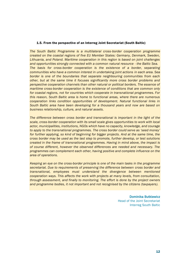#### 1.5. From the perspective of an Interreg Joint Secretariat (South Baltic)

*The South Baltic Programme is a multilateral cross-border cooperation programme created on the coastal regions of five EU Member States: Germany, Denmark, Sweden, Lithuania, and Poland. Maritime cooperation in this region is based on joint challenges and opportunities strongly connected with a common natural resource - the Baltic Sea. The basis for cross-border cooperation is the existence of a border, separating communities who have a common interest in undertaking joint actions in each area. Sea border is one of the boundaries that separate neighbouring communities from each other, but at the same time it focuses significantly more cross border problems and perspective cooperation channels than other natural or political borders. The essence of maritime cross-border cooperation is the existence of conditions that are common only for coastal regions, not for countries which cooperate in transnational programmes. For this reason, South Baltic area is home to functional areas, where there are numerous cooperation links condition opportunities of development. Natural functional links in South Baltic area have been developing for a thousand years and now are based on business relationship, culture, and natural assets.*

*The difference between cross border and transnational is important in the light of the scale, cross-border cooperation with its small scale gives opportunities to work with local actor, municipalities, institutions, NGOs which have no capacity, knowledge, and courage to apply to the transnational programmes. The cross border could serve as 'seed money' for further applying, so kind of beginning for bigger projects. And at the same time, the cross border may be used as the last step to promote, further develop, or test solutions created in the frame of transnational programmes. Having in mind above, the impact is of course different, however the observed differences are needed and necessary. The programmes can complement each other, having positive and complete influence on the area of operations.* 

*Keeping an eye on the cross-border principle is one of the main tasks in the programme secretariat. Due to requirements of preserving the difference between cross border and transnational, employees must understand the divergence between mentioned cooperation ways. This affects the work with projects at many levels, from consultation, through assessment, and finally to monitoring. The effort is done by the project owners and programme bodies, it not important and not recognised by the citizens (taxpayers).*

> Dominika Butkiewicz Head of the Joint Secretariat Interreg South Baltic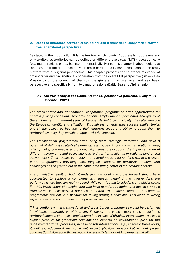# 2. Does the difference between cross-border and transnational cooperation matter from a territorial perspective?

As stated in the introduction, it is the territory which counts. But there is not the one and only territory as territories can be defined on different levels (e.g. NUTS), geographically (e.g. macro-regions or sea basins) or thematically. Hence this chapter is about looking at the question if the difference between cross-border and transnational cooperation really matters from a regional perspective. This chapter presents the territorial relevance of cross-border and transnational cooperation from the overall EU perspective (Slovenia as Presidency of the Council of the EU), the (general) macro-regional and sea basin perspective and specifically from two macro-regions (Baltic Sea and Alpine region)

# *2.1. The Presidency of the Council of the EU perspective (Slovenia, 1 July-to 31 December 2021)*

*The cross-border and transnational cooperation programmes offer opportunities for improving living conditions, economic options, employment opportunities and quality of the environment in different parts of Europe. Having broad visibility, they also improve the European identity and affiliation. Through instruments they address similar topics and similar objectives but due to their different scope and ability to adapt them to territorial diversity they provide unique territorial impacts.* 

*The transnational programmes often bring more strategic framework and have a potential of defining strategical elements, e.g., nodes, important at transnational level, missing links, bottlenecks and connectivity needs; they support the implementation of different agreements and policy agendas (e.g. territorial agenda or regional land or sea conventions). Their results can steer the tailored-made interventions within the crossborder programmes, providing more tangible solutions for territorial problems and challenges on the ground but at the same time fitting better in the broader context.* 

*The cumulative result of both strands (transnational and cross border) should be a coordinated to achieve a complementary impact, meaning that interventions are performed where they are really needed while contributing to solutions at a bigger scale. For this, involvement of stakeholders who have mandate to define and decide strategic frameworks is necessary. It happens too often, that stakeholders in transnational programmes are not in a position for taking strategic decisions. This leads to wrong expectations and poor uptake of the produced results.*

*If interventions within transnational and cross border programmes would be performed individually, separately or without any linkages, one could expect some undesirable territorial impacts of projects implementation. In case of physical interventions, we could expect pressure for greenfield development, impacts on environment, push for the undesired territorial processes; in case of soft interventions (e.g., strategic frameworks, guidelines, education) we would not expect physical impacts but without proper coordination follow up activities would be less efficient or not implemented at all.*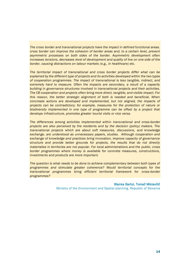*The cross border and transnational projects have the impact in defined functional areas. cross border can improve the cohesion of border areas and, to a certain level, prevent asymmetric processes on both sides of the border. Asymmetric development often increases tensions, decreases level of development and quality of live on one side of the border, causing distractions on labour markets (e.g., in healthcare) etc.*

*The territorial impact of transnational and cross border projects differ what can be explained by the different type of projects and its activities developed within the two types of cooperation programmes. The impact of transnational is less tangible, indirect, and extremely hard to measure. Often the impacts are secondary, a result of a capacity building in governance structures involved in transnational projects and their activities. The CB cooperation and projects often bring more direct, tangible, and visible impact. For this reason, the better strategic alignment of both is needed and beneficial. When concreate actions are developed and implemented, but not aligned, the impacts of projects can be contradictory; for example, measures for the protection of nature or biodiversity implemented in one type of programme can be offset by a project that develops infrastructure, promotes greater tourist visits or vice versa.*

*The differences among activities implemented within transnational and cross-border projects are also perceived by the residents and by the decision (policy) makers. The transnational projects which are about soft measures, discussions, and knowledge exchange, are understood as unnecessary papers, studies. Although cooperation and exchange of knowledge and practices bring innovation, improve capacity of governance structure and provide better grounds for projects, the results that do not directly materialise in territories are not popular. For local administrations and the public, cross border programmes where money is available for concrete measures, constructions, investments and products are more important.* 

*The question is what needs to be done to achieve complementary between both types of programmes and stimulate greater coherence? Would territorial concepts for the transnational programmes bring efficient territorial framework for cross-border programmes?*

#### Blanka Bartol, Tomaž Miklavčič

Ministry of the Environment and Spatial planning, Republic of Slovenia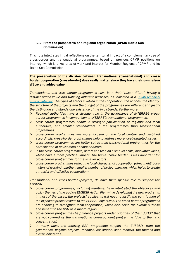# 2.2. From the perspective of a regional organization (CPMR Baltic Sea Commission)

This note integrates initial reflections on the territorial impact of a complementary use of cross-border and transnational programmes, based on previous CPMR positions on Interreg, which is a key area of work and interest for Member Regions of CPMR and its Baltic Sea Commission.

# The preservation of the division between transnational (transnational) and crossborder cooperation (cross-border) does really matter since they have their own raison d'être and added-value

*Transnational and cross-border programmes have both their "raison d'être", having a distinct added-value and fulfilling different purposes, as indicated in a CPMR technical [note on Interreg](https://cpmr.org/wpdm-package/the-future-of-interreg-10-messages-from-the-cpmr/?wpdmdl=17990&ind=1529396962494). The types of actors involved in the cooperation, the actions, the identity, the structure of the projects and the budget of the programmes are different and justify the distinction and standalone existence of the two strands. Furthermore:*

- ➢ *Regional authorities have a stronger role in the governance of INTERREG crossborder programmes in comparison to INTERREG transnational programmes.*
- ➢ *cross-border programmes enable a stronger participation of regional and local authorities, and smaller stakeholders in the programmes than transnational programmes.*
- ➢ *cross-border programmes are more focused on the local context and designed accordingly. cross-border programmes help to address more local/targeted issues.*
- ➢ *cross-border programmes are better suited than transnational programmes for the participation of newcomers or smaller actors.*
- ➢ *In the cross-border programmes, actors can test, on a smaller scale, innovative ideas, which have a more practical impact. The bureaucratic burden is less important for cross-border programmes for the smaller actors.*
- ➢ *cross-border programmes reflect the local character of cooperation (direct neighborshistory of working together, smaller number of project partners which helps to create a trustful and effective cooperation).*

*Transnational and cross-border (projects) do have their specific role to support the EUSBSR*

- ➢ *cross-border programmes, including maritime, have integrated the objectives and policy themes of the update EUSBSR Action Plan while developing the new programs. In most of the cases, the projects' applicants will need to justify the contribution of the expected project results to the EUSBSR objectives. The cross-border programmes are enabling to strengthen local cooperation, which also serve the overall purpose and benefit to the BSR as a macro-region.*
- ➢ *cross-border programmes help finance projects under priorities of the EUSBSR that are not covered by the transnational corresponding programme (due to thematic concentration)*
- ➢ *In many ways, the Interreg BSR programme support the EUSBSR, from the governance, flagship projects, technical assistance, seed moneys, the themes and overall objectives.*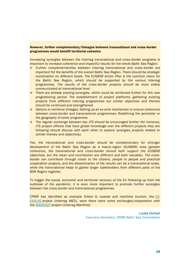# However, further complementary/linkages between transnational and cross-border programmes would benefit territorial cohesion

*Increasing synergies between the Interreg transnational and cross-border programs is important to increase coherence and impactful results for the whole Baltic Sea Region.*

- ➢ *Further complementarities between Interreg transnational and cross-border are important for the benefits of the overall Baltic Sea Region. There should be strategic coordination on different levels. The EUSBSR Action Plan is the common vision for the Baltic Sea Region, which should be supported by the various Interreg programmes. The results of the cross-border projects should be more widely communicated at transnational level.*
- ➢ *There are already existing synergies, which could be reinforced further for this new programming period. The establishment of project platforms, gathering existing projects from different Interreg programmes but similar objectives and themes should be continued and strengthened.*
- ➢ *Options to reinforce linkages: Setting up an ex-ante mechanism to ensure coherence between cross-border and transnational programmes; Redefining the perimeter or the geography of some programme.*
- ➢ *The regular exchange between key JTS should be encouraged further (for instance, JTS project officers that have global knowledge over the different projects they are following should discuss with each other to explore synergies projects related to similar themes and objectives).*

*Yes, the transnational and cross-border should be complementary for stronger development of the Baltic Sea Region as a macro-region (EUSBSR) area (greater coherence, the transnational and cross-border should both support the EUSBSR objectives, but the mean and contribution are different and both valuable). The cross*border can contribute through closer to the citizens, people to people and practical *cooperation projects, and the dissemination of the results can be a transnational scale, while the transnational helps to gather larger stakeholders from different parts of the BSR Region together.*

*To trigger the social, economic and territorial recovery of the EU following-up from the outbreak of the pandemic, it is even more important to promote further synergies between the cross-border and transnational programmes*

*CPMR has identified as example linked to coastal and maritime tourism, the [CO-](https://co-evolve.interreg-med.eu/)[EVOLVE](https://co-evolve.interreg-med.eu/) project (Interreg MED), were there were some exchanges/cooperation with the [MAREGOT](http://interreg-maritime.eu/fr/web/maregot/projet) project (Interreg Maritime)*

> Lucille Ehrhart Executive Secretary, CPMR Baltic Sea Commission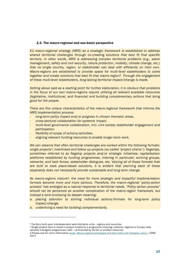#### 2.3. The macro-regional and sea-basin perspective

*EU macro-regional strategy (MRS) as a strategic framework is established to address shared territorial challenges through co-creating solutions that best fit that specific territory. In other words, MRS is addressing complex territorial problems (e.g., water management, safety and civil security, nature protection, mobility, climate change, etc.) that no single country, region, or stakeholder can deal with efficiently on their own. Macro-regions are established to provide space for multi-level stakeholders to come together and create solutions that best fit that macro-region2. Through the engagement of these multi-level stakeholders, long-lasting territorial impact/change is made.*

*Setting above said as a starting point for further elaboration, it is obvious that problems in the focus of our own macro-regions require utilising all relevant available resources (legislative, institutional, and financial) and building complementary actions that bring good for the people.*

*There are five unique characteristics of the macro-regional framework that informs the MRS implementation process:*

- *long-term policy impact and/or progress in chosen thematic areas.*
- *cross-sectoral collaboration for systemic impact.*
- *multi-level governance collaboration, incl. civil society stakeholder engagement and participation.*
- *flexibility of scope of actions/activities.*
- *aligning relevant funding resources to enable longer-term work.*

*We can observe that often territorial challenges are worked within the following formats: single projects3; interlinked and follow-up projects (so-called "project chains"); flagships, sometimes referred to as flagship projects and/or strategic initiatives; capitalisation platforms established by funding programmes, Interreg in particular; working groups, networks, and task forces; stakeholder dialogues, etc. Valuing all of these formats that are built to seek place-based solutions, it is evident that planning each of these separately does not necessarily provide sustainable and long-term change.* 

*As macro-regions mature4, the need for more strategic and impactful implementation formats become more and more obvious. Therefore, the macro-regional 'policy-action process' has emerged as a natural response to territorial needs. "Policy-action process" should not be perceived as another complication of the macro-region framework, but instead a term enclosing its deeper meaning:* 

- *a. placing attention to striving individual actions/formats for long-term policy impact/change.*
- *b. underlining a need for building complementarity.*

<sup>2</sup> Territory built upon interdependent administrative units - regions and countries.

<sup>3</sup> Single project here is meant a project funded by a programme (Interreg, national, regional or Europe wide (directly managed) programmes, both - co-financed by the EU or another resource).

<sup>4</sup> Please see for more information study "Macro-[regional strategies and their links with Cohesion policy",](https://ec.europa.eu/regional_policy/en/information/publications/studies/2017/macro-regional-strategies-and-their-links-with-cohesion-policy) COWI, 2017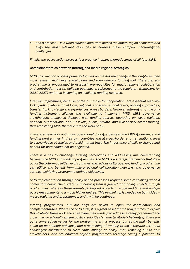*c. and a process – it is when stakeholders from across the macro-region cooperate and align the most relevant resources to address these complex macro-regional challenges.*

*Finally, the policy-action process is a practice in many thematic areas of all four MRS.*

#### Complementarities between Interreg and macro-regional strategies.

*MRS policy-action process primarily focuses on the desired change in the long-term, then most relevant multi-level stakeholders and then relevant funding tool. Therefore, any programme is encouraged to establish pre-requisites for macro-regional collaboration and contribution to it (in building openings in reference to the regulatory framework for 2021-2027) and thus becoming an available funding resource.*

*Interreg programmes, because of their purpose for cooperation, are essential resource kicking-off collaboration at local, regional, and transnational levels, piloting approaches, transferring knowledge and experiences across borders. However, Interreg is not the only funding instrument aligned and available to implement MRS. MRS governance stakeholders engage in dialogue with funding sources operating on local, regional, national, supranational and EU levels; public, private, and civil society sector funding, thus translating MRS thematic into the work of all.*

*There is a need for continuous operational dialogue between the MRS governance and*  funding programmes in their own countries and at cross-border and transnational level *to acknowledge obstacles and build mutual trust. The importance of daily exchange and benefit for both should not be neglected.*

*There is a call to challenge existing perceptions and addressing misunderstanding between the MRS and funding programmes. The MRS is a strategic framework that grew out of the bottom-up initiative of countries and regions of Europe. Any funding programme can utilise and benefit from macro-regional collaboration networks and governance settings, achieving programme defined objectives.*

*MRS implementation through policy-action processes requires some re-thinking when it comes to funding. The current EU funding system is geared for funding projects through programmes, whereas these formats go beyond projects in scope and time and engage policy environments to a much higher degree. This re-thinking is needed on both sides – macro-regional and programmes, and it will be continued.*

*Interreg programmes (but not only) are asked to open for coordination and complementarities. Where the MRS exist, it is a great asset for the programmes to exploit this strategic framework and streamline their funding to address already predefined and cross macro-regionally agreed political priorities (shared territorial challenges). There are quite some added values for the programme in this process, but as the main benefits could be mentioned: efficiency and streamlining of funding to most relevant territorial challenges; contribution to sustainable change at policy level; reaching out to new stakeholders, also stakeholders beyond programme's territory; having a potential to*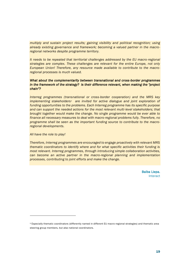*multiply and sustain project results; gaining visibility and political recognition; using already existing governance and framework; becoming a valued partner in the macroregional networks despite programme territory.*

*It needs to be repeated that territorial challenges addressed by the EU macro-regional strategies are complex. These challenges are relevant for the entire Europe, not only European Union! Therefore, any resource made available to contribute to the macroregional processes is much valued.*

# *What about the complementarity between transnational and cross-border programmes in the framework of the strategy? Is their difference relevant, when making the "project chain"?*

*Interreg programmes (transnational or cross-border cooperation) and the MRS key implementing stakeholders5 are invited for active dialogue and joint exploration of funding opportunities to the problems. Each Interreg programme has its specific purpose and can support the needed actions for the most relevant multi-level stakeholders; that brought together would make the change. No single programme would be ever able to finance all necessary measures to deal with macro-regional problems fully. Therefore, no programme shall be seen as the important funding source to contribute to the macroregional developments.*

*All have the role to play!*

*Therefore, Interreg programmes are encouraged to engage proactively with relevant MRS thematic coordinators to identify where and for what specific activities their funding is most relevant. Interreg programmes, through introducing simple collaboration activities, can become an active partner in the macro-regional planning and implementation processes, contributing to joint efforts and make the change.*

> Baiba Liepa. Interact

<sup>5</sup> Especially thematic coordinators (differently named in different EU macro-regional strategies) and thematic area steering group members, but also national coordinators.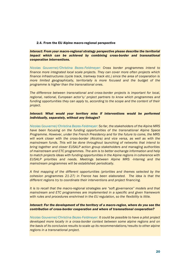#### 2.4. From the EU Alpine macro-regional perspective

*Interact: From your macro-regional strategy perspective please describe the territorial impact which can be achieved by combining cross-border and transnational cooperation interventions.*

*Nicolas Gouvernel/Christina Bezes-Feldmeyer: Cross border programmes intend to finance more integrated local scale projects. They can cover more often projects which finance infrastructures (cycle track, tramway track etc.) since the area of cooperation is more limited geographically, territorially is more focused and the budget of the programme is higher than the transnational ones.*

*The difference between transnational and cross-border projects is important for local, regional, national, European actor's/ project partners to know which programmes and funding opportunities they can apply to, according to the scope and the content of their project.*

# *Interact: What would your territory miss if interventions would be performed individually, separately, without any linkages?*

*Nicolas Gouvernel/Christina Bezes-Feldmeyer: So far, the stakeholders of the Alpine MRS have been focusing on the funding opportunities of the transnational Alpine Space Programme. However, under the French Presidency and for the future to come, the MRS will work closer with the cross-border (Alcotra) and vice versa, as well as with the mainstream funds. This will be done throughout launching of networks that intend to bring together and closer EUSALP action group stakeholders and managing authorities of mainstream and ETC programmes. The aim is to better exchange information and help to match projects ideas with funding opportunities in the Alpine regions in coherence with EUSALP priorities and needs. Meetings between Alpine MRS -Interreg and the mainstream programmes will be established periodically.*

*A first mapping of the different opportunities (priorities and themes selected by the cohesion programmes 21-27) in France has been elaborated. The idea is that the different regions try to coordinate their interventions and project financing.*

*It is to recall that the macro-regional strategies are "soft governance" models and that mainstream and ETC programmes are implemented in a specific and given framework with rules and procedures enshrined in the EU regulation, so the flexibility is little.*

# *Interact: For the development of the territory of a macro-region, where do you see the contribution of cross-border cooperation and where of transnational cooperation?*

*Nicolas Gouvernel/Christina Bezes-Feldmeyer: It could be possible to have a pilot project developed more locally in a cross-border context between some alpine regions and on the basis of its conclusive results to scale up its recommendations/results to other alpine regions in a transnational project.*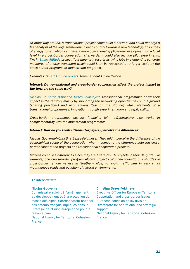*Or other way around, a transnational project could build a network and could undergo a first analysis of the legal framework in each country towards a new technology or sources of energy for ex. which can have a more operational application/development on a local level in a cross-border cooperation afterwards. It could also include pilot experiments, like in [Smart Altitude](https://smartaltitude.eu/) project (four mountain resorts as living labs implementing concrete measures of energy transition) which could later be replicated at a larger scale by the cross-border programs or mainstream programs.*

*Examples: [Smart Altitude project.](https://smartaltitude.eu/) transnational Alpine Region*

## *Interact: Do transnational and cross-border cooperation affect the project impact in the territory the same way?*

*Nicolas Gouvernel/Christina Bezes-Feldmeyer: Transnational programmes show their impact in the territory mainly by supporting the networking opportunities on the ground (sharing practices) and pilot actions (test on the ground). Main elements of a transnational programmes: Innovation through experimentation and replicability.*

*Cross-border programmes besides financing joint infrastructure also works in complementarity with the mainstream programmes.*

#### *Interact: How do you think citizens (taxpayers) perceive the difference?*

*Nicolas Gouvernel/Christina Bezes-Feldmeyer: They might perceive the difference of the geographical scope of the cooperation when it comes to the difference between crossborder cooperation projects and transnational cooperation projects.*

*Citizens could see differences since they are aware of ETC projects in their daily l ife. For example, one cross-border program Alcotra project co-funded touristic bus shuttles in cross-border remote valleys in Southern Alps, to avoid traffic jam in very small mountainous roads and pollution of natural environments.*

# An interview with

#### Nicolas Gouvernel

Commissaire adjoint à l'aménagement, au développement et à la protection du massif des Alpes. Coordonnateur national des acteurs français impliqués dans la Stratégie de l'Union européenne pour la région alpine.

National Agency for Territorial Cohesion. **France** 

#### Christina Bezes-Feldmeyer

Executive Officer for European Territorial Cooperation and cross-border issues European cohesion policy division Directorate for operational and strategic support National Agency for Territorial Cohesion. France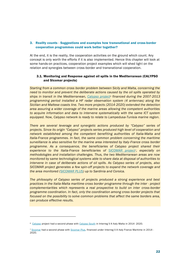# 3. Reality counts - Suggestions and examples how transnational and cross-border cooperation programmes could work better together?

At the end, it is the reality, the cooperation activities on the ground which count. Any concept is only worth the efforts if it is also implemented. Hence this chapter will look at some hands-on practices, cooperation project examples which will shed light on the relation and synergies between cross-border and transnational cooperation.

## 3.1. Monitoring and Response against oil spills in the Mediterranean (CALYPSO and SIcomar projects)

*Starting from a common cross border problem between Sicily and Malta, concerning the need to monitor and prevent the deliberate actions caused by the oil spills operated by ships in transit in the Mediterranean, [Calypso project](https://keep.eu/projects/13775/CALYPSO-HF-Radar-Monitoring-EN/)<sup>6</sup> financed during the 2007-2013 programming period installed a HF radar observation system (4 antennas) along the Sicilian and Maltese coasts line. Two more projects (2014-2020) extended the detection area assuring a wider coverage of the marine areas allowing the competent authorities to acquire information and data to intervene systematically with the same ICT system equipped. Now, Calypso network is ready to relate to Lampedusa-Tunisia marine region.*

*There are several leverage and synergetic actions produced by "Calypso" series of projects. Since its origin "Calypso" projects series produced high level of cooperation and network established among the competent benefiting authorities of Italia-Malta and Italia-France programmes. In fact, the same common problem concerning the maritime surveillance is also sensitive for the marine area interested by Italy-France cross border programme. As a consequence, the beneficiaries of Calypso project shared their experience to the Italia-France beneficiaries of [SICOMAR project](https://keep.eu/projects/14684/SYST-ME-DE-CONTROL-MARITIME-EN/)7, especially on methodologies and installation challenges. Thus, the two Mediterranean areas are now monitored by same technological systems able to share data at disposal of authorities to intervene in case of deliberate actions of oil spills. As Calypso series of projects, also SICOMAR project generates a few spin-off projects to expand the network coverage and the area monitored [\(SICOMAR PLUS\)](http://interreg-maritime.eu/web/sicomarplus) up to Sardinia and Corsica.*

*The philosophy of Calypso series of projects produced a strong experience and best practices in the Italia-Malta maritime cross border programme through the inter - project complementarities which represents a real prospective to build on inter cross-border programme coordination. In fact, only the coordination among cross border projects that focused on the possibility to solve common problems that affect the same borders area, can produce effective results.*

<sup>6</sup> [Calypso](https://keep.eu/projects/13775/CALYPSO-HF-Radar-Monitoring-EN/) project had a second phase wit[h Calypso South](https://keep.eu/projects/20509/Extending-Data-and-Services-EN/) in Interreg V-A Italy Malta in 2014 -2020.

<sup>7</sup> [Sicomar](https://keep.eu/projects/14684/SYST-ME-DE-CONTROL-MARITIME-EN/) had a second phase with [Sicomar Plus,](https://keep.eu/projects/22595/cross-border-system-for-saf-EN/) financed under Interreg V-A Italy France Maritime in 2014 -2020.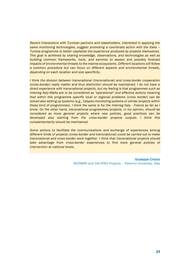*Recent Interactions with Tunisian partners and stakeholders, interested in applying the same monitoring technologies, suggest promoting a coordinate action with the Italia – Tunisia programme to better capitalize the experience produced by projects themselves. This goal is achieved by sharing knowledge, observations, and technologies as well as building common frameworks, tools, and services to assess and possibly forecast impacts of environmental threats to the marine ecosystems. Different locations will follow a common procedure but can focus on different aspects and environmental threats, depending on each location and size specificity.*

*I think the division between transnational (transnational) and cross-border cooperation (cross-border) really matter and thus distinction should be maintained. I do not have a direct experience with transnational projects, but my feeling is that programmes such as Interreg Italy-Malta are to be considered as "operational" and effective actions meaning that within this programme specific local or regional problems (cross border) can be solved also setting up systems (e.g., Calypso monitoring systems or similar projects within these kind of programmes). I think the same is for the Interreg Italy - France as far as I know. On the other hand, transnational programmes/projects, in my opinion, should be considered as more general projects where new policies, good practices can be developed also starting from the cross-border projects outputs. I think this complementarity should be maintained.*

*Some actions to facilitate the communications and exchange of experiences among different kinds of projects (cross-border and transnational) could be carried out to make transnational and cross-border work together. I think that transnational projects should take advantage from cross-border experiences to find more general policies of intervention at national levels.*

> Giuseppe Ciraolo SICOMAR and CALYPSO Projects – Palermo University, Italy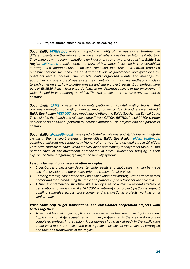#### 3.2. Project chains examples in the Baltic sea region

*South Baltic [MORPHEUS](https://keep.eu/projects/21905/Model-Areas-for-Removal-of--EN/) project mapped the quality of the wastewater treatment in different plants and the left-over pharmaceutical substances flushed into the Baltic Sea. They came up with recommendations for investments and awareness raising. Baltic Sea Region [CWPharma](https://keep.eu/projects/20101/Clear-Water-from-Pharmaceut-EN/) complements the work with a wider focus, both in geographical coverage and pharmaceutical emission reduction measures. CWPharma produced recommendations for measures on different levels of governance and guidelines for operators and authorities. The projects jointly organised events and meetings for authorities and operators of wastewater treatment plants. They gave feedback and ideas to each other on e.g., how to better present and share project results. Both projects were part of EUSBSR Policy Area Hazards flagship on "Pharmaceuticals in the environment" which helped in coordinating activities. The two projects did not have any partners in common.*

*South Baltic [CATCH](https://keep.eu/projects/17833/Coastal-Angling-Tourism-a-d-EN/) created a knowledge platform on coastal angling tourism that provides information for angling tourists; among others on "catch and release method." Baltic Sea Region [RETROUT](https://keep.eu/projects/20145/Development-promotion-and-s-EN/) developed among others the Baltic Sea Fishing Ethical Code. This included the "catch and release method" from CATCH. RETROUT used CATCH partner network as an additional platform to increase outreach. The projects had one partner in common.*

*South Baltic [abc.multimodal](https://keep.eu/projects/16338/Access-by-Cycling-Integrati-EN/) developed strategies, visions and guideline to integrate cycling in the transport system in three cities. Baltic Sea Region [cities. Multimodal](https://keep.eu/projects/21644/Cities-multimodal-urban-tra-EN/) combined different environmentally friendly alternatives for individual cars in 10 cities. They developed sustainable urban mobility plans and mobility management tools. All the partner cities of abc.multimodal participated in cities. Multimodal bringing in their experience from integrating cycling to the mobility systems.*

#### *Lessons learned from these and other examples:*

- *Cross-border projects can deliver tangible results and pilot cases that can be made use of in broader and more policy oriented transnational projects.*
- *Entering Interreg cooperation may be easier when first starting with partners across border and then broadening the topic and partnership to a transnational context.*
- *A thematic framework structure like a policy area of a macro-regional strategy, a transnational organisation like HELCOM or Interreg BSR project platforms support building synergies across cross-border and transnational projects working on a similar topic.*

# *What could help to get transnational and cross-border cooperation projects work better together:*

• *To request from all project applicants to be aware that they are not acting in isolation. Applicants should get acquainted with other programmes in the area and results of completed projects in the region. Programmes should ask already in the application about links to other projects and existing results as well as about links to strategies and thematic frameworks in the region.*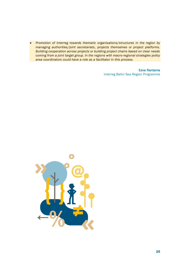• *Promotion of Interreg towards thematic organisations/structures in the region by managing authorities/joint secretariats, projects themselves or project platforms. Building cooperation across projects or building project chains based on clear needs coming from a joint target group. In the regions with macro-regional strategies policy area coordinators could have a role as a facilitator in this process.*

> Eeva Rantama Interreg Baltic Sea Region Programme

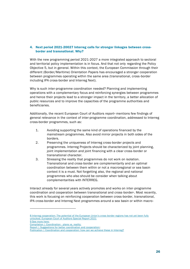# 4. Next period 2021-20027 Interreg calls for stronger linkages between crossborder and transnational. Why?

With the new programming period 2021-2027 a more integrated approach to sectoral and territorial policy implementation is in focus. And that not only regarding the Policy Objective 5, but in general. Within this context, the European Commission through their different (Border/Maritime) Orientation Papers has encouraged a stronger cooperation between programmes operating within the same area (transnational, cross-border including IPA cross-border and Interreg Next).

Why is such inter-programme coordination needed? Planning and implementing operations with a complementary focus and reinforcing synergies between programmes and hence their projects lead to a stronger impact in the territory, a better allocation of public resources and to improve the capacities of the programme authorities and beneficiaries.

Additionally, the recent European Court of Auditors report<sup>s</sup> mentions few findings of general relevance in the context of inter-programme coordination, addressed to Interreg cross-border programmes, such as:

- 1. Avoiding supporting the same kind of operations financed by the mainstream programmes. Also avoid mirror projects in both sides of the borders.
- 2. Preserving the uniqueness of Interreg cross-border projects and programmes. Interreg Projects should be characterized by joint planning, joint implementation and joint financing with a clear cross-border or transnational character.
- 3. Stressing the reality that programmes do not work on isolation. Transnational and cross-border are complementarity and an optimal coordination between them within or not a macroregional or sea basin context it is a must. Not forgetting also, the regional and national programmes who also should be consider when talking about complementarities with INTERREG.

Interact already for several years actively promotes and works on inter-programme coordination and cooperation between transnational and cross-border9. Most recently, this work is focusing on reinforcing cooperation between cross-border, transnational, IPA cross-border and Interreg Next programmes around a sea basin or within macro-

9 See more here:

<sup>8</sup> Interreg cooperation: The potential of the European Union's cross-border regions has not yet been fully unlocked. European Court of Auditors Special Report 2021

Compilation | Coordination - plans vs. reality;

[Report | Suggestions for better coordination and cooperation;](https://www.interact-eu.net/library?title=coordination&field_fields_of_expertise_tid=All&field_networks_tid=All#1786-report-suggestions-better-coordination-and-cooperation)

[Publication | Coordination and cooperation: how can we achieve these in Interreg?](https://www.interact-eu.net/library?title=coordination&field_fields_of_expertise_tid=All&field_networks_tid=All#1653-publication-coordination-and-cooperation-how-can-we-achieve-these-interreg)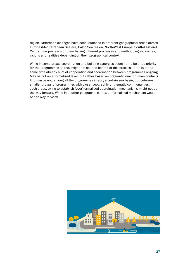region. Different exchanges have been launched in different geographical areas across Europe (Mediterranean Sea are, Baltic Sea region, North-West Europe, South-East and Central Europe), each of them having different processes and methodologies, wishes, visions and realities depending on their geographical context.

While in some areas, coordination and building synergies seem not to be a top priority for the programmes as they might not see the benefit of this process, there is at the same time already a lot of cooperation and coordination between programmes ongoing. May be not on a formalised level, but rather based on pragmatic direct human contacts. And maybe not, among all the programmes in e.g., a certain sea basin, but between smaller groups of programmes with closer geographic or thematic commonalities. In such areas, trying to establish (over)formalised coordination mechanisms might not be the way forward. While in another geographic context, a formalised mechanism would be the way forward.

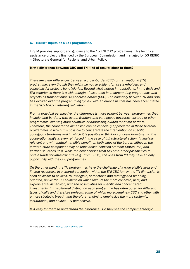#### 5. TESIM $10$  inputs on NEXT programmes.

TESIM provides support and guidance to the 15 ENI CBC programmes. This technical assistance project is financed by the European Commission, and managed by DG REGIO – Directorate General for Regional and Urban Policy.

# Is the difference between CBC and TN kind of results clear to them?

*There are clear differences between a cross-border (CBC) or transnational (TN) programme, even though they might be not so evident for all stakeholders and especially for projects beneficiaries. Beyond what written in regulations, in the ENPI and ENI experience there is a wide margin of discretion in understanding programmes and projects as transnational (TN) or cross-border (CBC). The boundary between TN and CBC has evolved over the programming cycles, with an emphasis that has been accentuated in the 2021-2027 Interreg regulation.* 

*From a practical perspective, the difference is more evident between programmes that include land borders, with actual frontiers and contiguous territories, instead of other programmes involving more countries or addressing diluted maritime borders. Therefore, the cooperation dimension can be especially appreciated in those bilateral programmes in which it is possible to concentrate the intervention on specific contiguous territories and in which it is possible to think of concrete investments. The cooperation angle is even reinforced in the case of infrastructural action, financially relevant and with mutual, tangible benefit on both sides of the border, although the infrastructure component may be unbalanced between Member States (MS) and Partner Countries (PC). While the beneficiaries from MS have other possibilities to obtain funds for infrastructure (e.g., from ERDF), the ones from PC may have an only opportunity with the CBC programmes.* 

*On the other hand, the TN programmes have the challenge of a wide eligible area and limited resources. In a shared perception within the ENI CBC family, the TN dimension is seen as closer to policies, to intangible, soft actions and strategy and planning oriented, unlike the CBC dimension which favours the more concrete, pilot, and experimental dimension, with the possibilities for specific and concentrated investments. In this general distinction each programme has often opted for different types of calls and therefore projects, some of which more genuinely CBC and other with a more strategic breath, and therefore tending to emphasize the more systemic, institutional, and political TN perspective.*

*Is it easy for them to understand the difference? Do they see the complementarity?*

<sup>10</sup> More about TESIM[: https://tesim-enicbc.eu/](https://tesim-enicbc.eu/)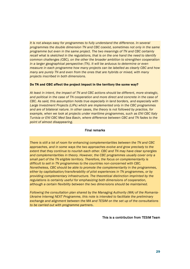*It* is not always easy for programmes to fully understand the difference. In several *programmes the double dimension TN and CBC coexist, sometimes not only in the same programme but even in the same project. The two meanings of TN and CBC certainly recall what is sketched in the regulations, that is on the one hand the need to identify common challenges (CBC), on the other the broader ambition to strengthen cooperation in a larger geographical perspective (TN). It will be arduous to determine or even measure in each programme how many projects can be labelled as clearly CBC and how many are purely TN and even from the ones that are hybrids or mixed, with many projects inscribed in both dimensions.*

#### Do TN and CBC affect the project impact in the territory the same way?

*At least in intent, the impact of TN and CBC actions should be different, more strategic, and political in the case of TN cooperation and more direct and concrete in the case of CBC. As said, this assumption holds true especially in land borders, and especially with Large Investment Projects (LIPs) which are implemented only in the CBC programmes and are of bilateral nature. In other cases, the theory is not followed by practice, for example, when we look at projects under maritime programmes, such as ENI CBC Italy Tunisia or ENI CBC Med Sea Basin, where difference between CBC and TN fades to the point of almost disappearing.*

#### Final remarks

*There is still a lot of room for enhancing complementarities between the TN and CBC approaches, and in some ways the two approaches evolve and grow precisely to the extent that they continue to nourish each other. CBC and TN may have clear synergies and complementarities in theory. However, the CBC programmes usually cover only a small part of the TN eligible territory. Therefore, the focus on complementarity is difficult to sell in TN programmes to the countries non-concerned with CBC. Nonetheless, CBC should be able to promote the complementarity in the programmes, either by capitalisation/transferability of pilot experiences in TN programmes, or by providing complementary infrastructure. The theoretical distinction imprinted by the regulations is certainly useful for emphasizing both dimensions of cooperation, although a certain flexibility between the two dimensions should be maintained.* 

*Following the consultation plan shared by the Managing Authority (MA) of the Romania-Ukraine Interreg NEXT Programme, this note is intended to facilitate the preliminary exchange and alignment between the MA and TESIM on the set up of the consultations to be carried out with programme partners.* 

#### This is a contribution from TESIM Team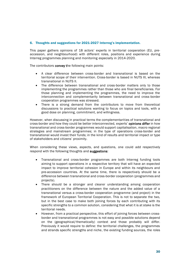## 6. Thoughts and suggestions for 2021-2027 Interreg's implementation.

This paper gathers opinions of 18 actors' experts in territorial cooperation (EU, preaccession, and neighbourhood) with different roles, positions and experience during Interreg programmes planning and monitoring especially in 2014-2020.

The contributors convey the following main points:

- A clear difference between cross-border and transnational is based on the territorial scope of their intervention. Cross-border is based in NUTS III, whereas transnational in NUTS II.
- The difference between transnational and cross-border matters only to those implementing the programmes rather than those who are final beneficiaries. For those planning and implementing the programmes, the need to improve the interconnection and complementarity between transnational and cross-border cooperation programmes was stressed.
- There is a strong demand from the contributors to move from theoretical discussions to practical solutions wanting to focus on topics and tools, with a good dose on planning, commitment, and willingness.

However, when discussing in practical terms the complementarities of transnational and cross-border and how they could be better interconnected, experts' opinions differ in how transnational and cross-border programmes would support capitalisation, macro regional strategies and mainstream programmes; in the type of operations cross-border and transnational would invest their funds; in the kind of results and territorial impact or type of stakeholders and citizens' proximity.

When considering these views, aspects, and questions, one could add respectively respond with the following thoughts and suggestions:

- Transnational and cross-border programmes are both Interreg funding tools aiming to support operations in a respective territory that will have an expected impact to improve territorial cohesion in Europe and within its neighbours and pre-accession countries. At the same time, there is respectively should be a difference between transnational and cross-border cooperation (programmes and projects).
- There should be a stronger and clearer understanding among cooperation practitioners on the difference between the nature and the added value of a transnational versus a cross-border cooperation programme (and project) in the framework of European Territorial Cooperation. This is not to separate the two, but in the best case to make both joining forces by each contributing with its specific strengths to a common solution, considering that what it is at stake is the territorial needs.
- However, from a practical perspective, this effort of joining forces between crossborder and transnational programmes is not easy and possible solutions depend on the (geographical/thematically) context and those probably will differ. Previously it would require to define: the territorial challenges, the programmes and strands specific strengths and niche, the existing funding sources, the roles